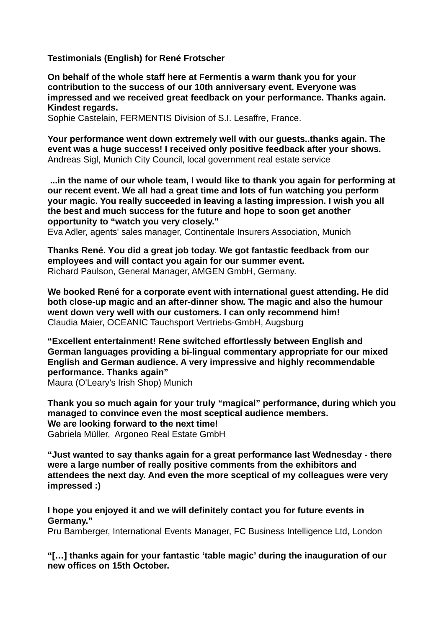**Testimonials (English) for René Frotscher**

**On behalf of the whole staff here at Fermentis a warm thank you for your contribution to the success of our 10th anniversary event. Everyone was impressed and we received great feedback on your performance. Thanks again. Kindest regards.**

Sophie Castelain, FERMENTIS Division of S.I. Lesaffre, France.

**Your performance went down extremely well with our guests..thanks again. The event was a huge success! I received only positive feedback after your shows.** Andreas Sigl, Munich City Council, local government real estate service

 **...in the name of our whole team, I would like to thank you again for performing at our recent event. We all had a great time and lots of fun watching you perform your magic. You really succeeded in leaving a lasting impression. I wish you all the best and much success for the future and hope to soon get another opportunity to "watch you very closely."**

Eva Adler, agents' sales manager, Continentale Insurers Association, Munich

**Thanks René. You did a great job today. We got fantastic feedback from our employees and will contact you again for our summer event.** Richard Paulson, General Manager, AMGEN GmbH, Germany.

**We booked René for a corporate event with international guest attending. He did both close-up magic and an after-dinner show. The magic and also the humour went down very well with our customers. I can only recommend him!**  Claudia Maier, OCEANIC Tauchsport Vertriebs-GmbH, Augsburg

**"Excellent entertainment! Rene switched effortlessly between English and German languages providing a bi-lingual commentary appropriate for our mixed English and German audience. A very impressive and highly recommendable performance. Thanks again"**

Maura (O'Leary's Irish Shop) Munich

**Thank you so much again for your truly "magical" performance, during which you managed to convince even the most sceptical audience members. We are looking forward to the next time!** Gabriela Müller, Argoneo Real Estate GmbH

**"Just wanted to say thanks again for a great performance last Wednesday - there were a large number of really positive comments from the exhibitors and attendees the next day. And even the more sceptical of my colleagues were very impressed :)**

**I hope you enjoyed it and we will definitely contact you for future events in Germany."**

Pru Bamberger, International Events Manager, FC Business Intelligence Ltd, London

**"[…] thanks again for your fantastic 'table magic' during the inauguration of our new offices on 15th October.**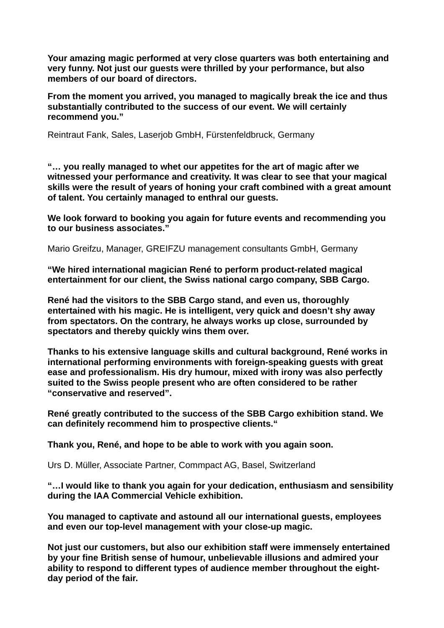**Your amazing magic performed at very close quarters was both entertaining and very funny. Not just our guests were thrilled by your performance, but also members of our board of directors.**

**From the moment you arrived, you managed to magically break the ice and thus substantially contributed to the success of our event. We will certainly recommend you."**

Reintraut Fank, Sales, Laserjob GmbH, Fürstenfeldbruck, Germany

**"… you really managed to whet our appetites for the art of magic after we witnessed your performance and creativity. It was clear to see that your magical skills were the result of years of honing your craft combined with a great amount of talent. You certainly managed to enthral our guests.**

**We look forward to booking you again for future events and recommending you to our business associates."**

Mario Greifzu, Manager, GREIFZU management consultants GmbH, Germany

**"We hired international magician René to perform product-related magical entertainment for our client, the Swiss national cargo company, SBB Cargo.**

**René had the visitors to the SBB Cargo stand, and even us, thoroughly entertained with his magic. He is intelligent, very quick and doesn't shy away from spectators. On the contrary, he always works up close, surrounded by spectators and thereby quickly wins them over.** 

**Thanks to his extensive language skills and cultural background, René works in international performing environments with foreign-speaking guests with great ease and professionalism. His dry humour, mixed with irony was also perfectly suited to the Swiss people present who are often considered to be rather "conservative and reserved".**

**René greatly contributed to the success of the SBB Cargo exhibition stand. We can definitely recommend him to prospective clients."**

**Thank you, René, and hope to be able to work with you again soon.** 

Urs D. Müller, Associate Partner, Commpact AG, Basel, Switzerland

**"…I would like to thank you again for your dedication, enthusiasm and sensibility during the IAA Commercial Vehicle exhibition.** 

**You managed to captivate and astound all our international guests, employees and even our top-level management with your close-up magic.** 

**Not just our customers, but also our exhibition staff were immensely entertained by your fine British sense of humour, unbelievable illusions and admired your ability to respond to different types of audience member throughout the eightday period of the fair.**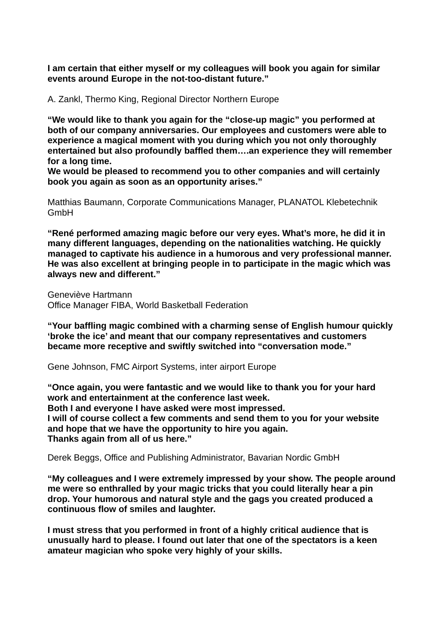**I am certain that either myself or my colleagues will book you again for similar events around Europe in the not-too-distant future."**

A. Zankl, Thermo King, Regional Director Northern Europe

**"We would like to thank you again for the "close-up magic" you performed at both of our company anniversaries. Our employees and customers were able to experience a magical moment with you during which you not only thoroughly entertained but also profoundly baffled them….an experience they will remember for a long time.** 

**We would be pleased to recommend you to other companies and will certainly book you again as soon as an opportunity arises."**

Matthias Baumann, Corporate Communications Manager, PLANATOL Klebetechnik **GmbH** 

**"René performed amazing magic before our very eyes. What's more, he did it in many different languages, depending on the nationalities watching. He quickly managed to captivate his audience in a humorous and very professional manner. He was also excellent at bringing people in to participate in the magic which was always new and different."**

Geneviève Hartmann Office Manager FIBA, World Basketball Federation

**"Your baffling magic combined with a charming sense of English humour quickly 'broke the ice' and meant that our company representatives and customers became more receptive and swiftly switched into "conversation mode."**

Gene Johnson, FMC Airport Systems, inter airport Europe

**"Once again, you were fantastic and we would like to thank you for your hard work and entertainment at the conference last week. Both I and everyone I have asked were most impressed. I will of course collect a few comments and send them to you for your website and hope that we have the opportunity to hire you again. Thanks again from all of us here."**

Derek Beggs, Office and Publishing Administrator, Bavarian Nordic GmbH

**"My colleagues and I were extremely impressed by your show. The people around me were so enthralled by your magic tricks that you could literally hear a pin drop. Your humorous and natural style and the gags you created produced a continuous flow of smiles and laughter.** 

**I must stress that you performed in front of a highly critical audience that is unusually hard to please. I found out later that one of the spectators is a keen amateur magician who spoke very highly of your skills.**